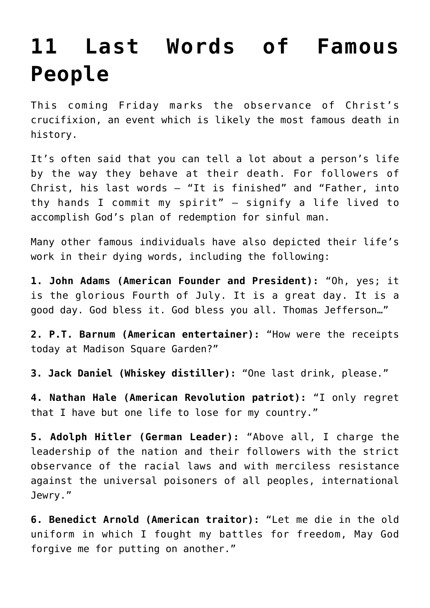## **[11 Last Words of Famous](https://intellectualtakeout.org/2016/03/11-last-words-of-famous-people/) [People](https://intellectualtakeout.org/2016/03/11-last-words-of-famous-people/)**

This coming Friday marks the observance of Christ's crucifixion, an event which is likely the most famous death in history.

It's often said that you can tell a lot about a person's life by the way they behave at their death. For followers of Christ, his last words – "It is finished" and "Father, into thy hands I commit my spirit" – signify a life lived to accomplish God's plan of redemption for sinful man.

Many other famous individuals have also depicted their life's work in their dying words, including the following:

**1. John Adams (American Founder and President):** "Oh, yes; it is the glorious Fourth of July. It is a great day. It is a good day. God bless it. God bless you all. Thomas Jefferson…"

**2. P.T. Barnum (American entertainer):** "How were the receipts today at Madison Square Garden?"

**3. Jack Daniel (Whiskey distiller):** "One last drink, please."

**4. Nathan Hale (American Revolution patriot):** "I only regret that I have but one life to lose for my country."

**5. Adolph Hitler (German Leader):** "Above all, I charge the leadership of the nation and their followers with the strict observance of the racial laws and with merciless resistance against the universal poisoners of all peoples, international Jewry."

**6. Benedict Arnold (American traitor):** "Let me die in the old uniform in which I fought my battles for freedom, May God forgive me for putting on another."